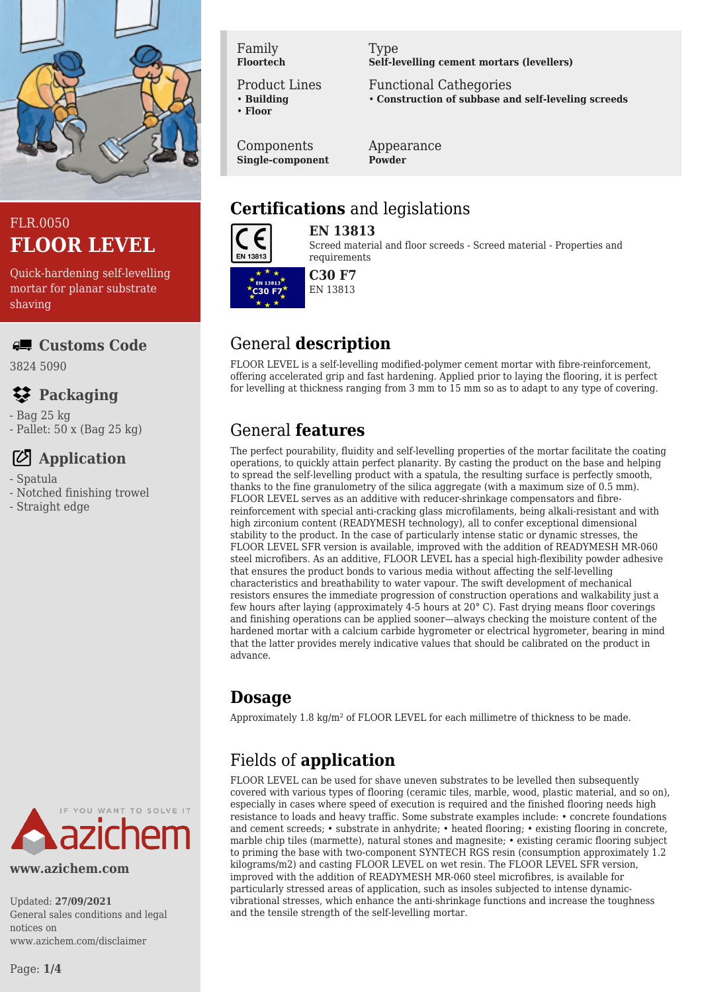

## FLR.0050 **FLOOR LEVEL**

Quick-hardening self-levelling mortar for planar substrate shaving

#### **Customs Code**

3824 5090

# **Packaging**

- Bag 25 kg
- Pallet: 50 x (Bag 25 kg)

# **Application**

- Spatula
- Notched finishing trowel
- Straight edge



**www.azichem.com**

Updated: **27/09/2021** General sales conditions and legal notices on www.azichem.com/disclaimer

Family **Floortech**

Product Lines

• **Building** • **Floor**

Components

**Single-component**

Type **Self-levelling cement mortars (levellers)**

Functional Cathegories • **Construction of subbase and self-leveling screeds**

Appearance **Powder**

## **Certifications** and legislations



**EN 13813**

Screed material and floor screeds - Screed material - Properties and requirements



## General **description**

FLOOR LEVEL is a self-levelling modified-polymer cement mortar with fibre-reinforcement, offering accelerated grip and fast hardening. Applied prior to laying the flooring, it is perfect for levelling at thickness ranging from 3 mm to 15 mm so as to adapt to any type of covering.

## General **features**

The perfect pourability, fluidity and self-levelling properties of the mortar facilitate the coating operations, to quickly attain perfect planarity. By casting the product on the base and helping to spread the self-levelling product with a spatula, the resulting surface is perfectly smooth, thanks to the fine granulometry of the silica aggregate (with a maximum size of 0.5 mm). FLOOR LEVEL serves as an additive with reducer-shrinkage compensators and fibrereinforcement with special anti-cracking glass microfilaments, being alkali-resistant and with high zirconium content (READYMESH technology), all to confer exceptional dimensional stability to the product. In the case of particularly intense static or dynamic stresses, the FLOOR LEVEL SFR version is available, improved with the addition of READYMESH MR-060 steel microfibers. As an additive, FLOOR LEVEL has a special high-flexibility powder adhesive that ensures the product bonds to various media without affecting the self-levelling characteristics and breathability to water vapour. The swift development of mechanical resistors ensures the immediate progression of construction operations and walkability just a few hours after laying (approximately 4-5 hours at 20° C). Fast drying means floor coverings and finishing operations can be applied sooner—always checking the moisture content of the hardened mortar with a calcium carbide hygrometer or electrical hygrometer, bearing in mind that the latter provides merely indicative values that should be calibrated on the product in advance.

## **Dosage**

Approximately 1.8 kg/m² of FLOOR LEVEL for each millimetre of thickness to be made.

# Fields of **application**

FLOOR LEVEL can be used for shave uneven substrates to be levelled then subsequently covered with various types of flooring (ceramic tiles, marble, wood, plastic material, and so on), especially in cases where speed of execution is required and the finished flooring needs high resistance to loads and heavy traffic. Some substrate examples include: • concrete foundations and cement screeds; • substrate in anhydrite; • heated flooring; • existing flooring in concrete, marble chip tiles (marmette), natural stones and magnesite; • existing ceramic flooring subject to priming the base with two-component SYNTECH RGS resin (consumption approximately 1.2 kilograms/m2) and casting FLOOR LEVEL on wet resin. The FLOOR LEVEL SFR version, improved with the addition of READYMESH MR-060 steel microfibres, is available for particularly stressed areas of application, such as insoles subjected to intense dynamicvibrational stresses, which enhance the anti-shrinkage functions and increase the toughness and the tensile strength of the self-levelling mortar.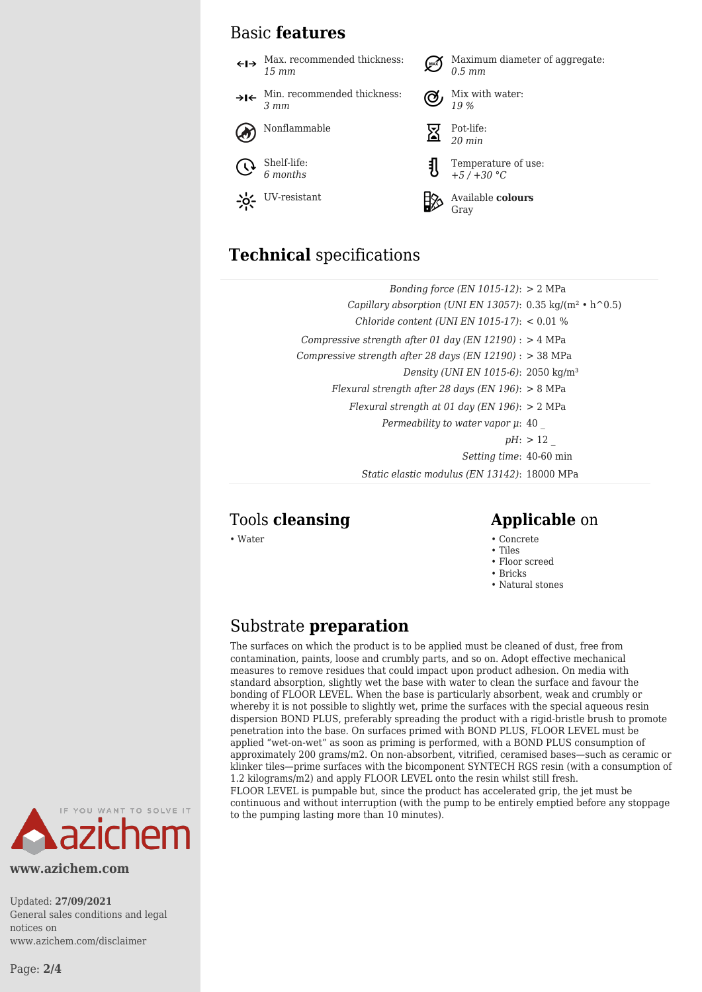### Basic **features**

Max. recommended thickness: Maximum diameter of aggregate: *0.5 mm 15 mm* Min. recommended thickness: Mix with water: →l← *3 mm 19 %* Nonflammable  $\overline{\nabla}$  Pot-life: *20 min* Shelf-life: Temperature of use: *6 months +5 / +30 °C* UV-resistant **Available colours** Gray

## **Technical** specifications

| Bonding force $(EN 1015-12)$ : > 2 MPa                                          |
|---------------------------------------------------------------------------------|
| Capillary absorption (UNI EN 13057): $0.35 \text{ kg/(m}^2 \cdot \text{h}^0.5)$ |
| Chloride content (UNI EN 1015-17): $< 0.01$ %                                   |
| Compressive strength after 01 day (EN 12190) : $>$ 4 MPa                        |
| Compressive strength after 28 days (EN 12190) : $>$ 38 MPa                      |
| Density (UNI EN 1015-6): 2050 kg/m <sup>3</sup>                                 |
| Flexural strength after 28 days (EN 196): $> 8$ MPa                             |
| Flexural strength at 01 day (EN 196): $> 2$ MPa                                 |
| Permeability to water vapor $\mu$ : 40                                          |
| $pH:$ > 12                                                                      |
| Setting time: 40-60 min                                                         |
| Static elastic modulus (EN 13142): 18000 MPa                                    |

### Tools **cleansing Applicable** on

- Water Concrete
	- Tiles
	- Floor screed
	- Bricks
	- Natural stones

### Substrate **preparation**

The surfaces on which the product is to be applied must be cleaned of dust, free from contamination, paints, loose and crumbly parts, and so on. Adopt effective mechanical measures to remove residues that could impact upon product adhesion. On media with standard absorption, slightly wet the base with water to clean the surface and favour the bonding of FLOOR LEVEL. When the base is particularly absorbent, weak and crumbly or whereby it is not possible to slightly wet, prime the surfaces with the special aqueous resin dispersion BOND PLUS, preferably spreading the product with a rigid-bristle brush to promote penetration into the base. On surfaces primed with BOND PLUS, FLOOR LEVEL must be applied "wet-on-wet" as soon as priming is performed, with a BOND PLUS consumption of approximately 200 grams/m2. On non-absorbent, vitrified, ceramised bases—such as ceramic or klinker tiles—prime surfaces with the bicomponent SYNTECH RGS resin (with a consumption of 1.2 kilograms/m2) and apply FLOOR LEVEL onto the resin whilst still fresh. FLOOR LEVEL is pumpable but, since the product has accelerated grip, the jet must be continuous and without interruption (with the pump to be entirely emptied before any stoppage to the pumping lasting more than 10 minutes).



**www.azichem.com**

Updated: **27/09/2021** General sales conditions and legal notices on www.azichem.com/disclaimer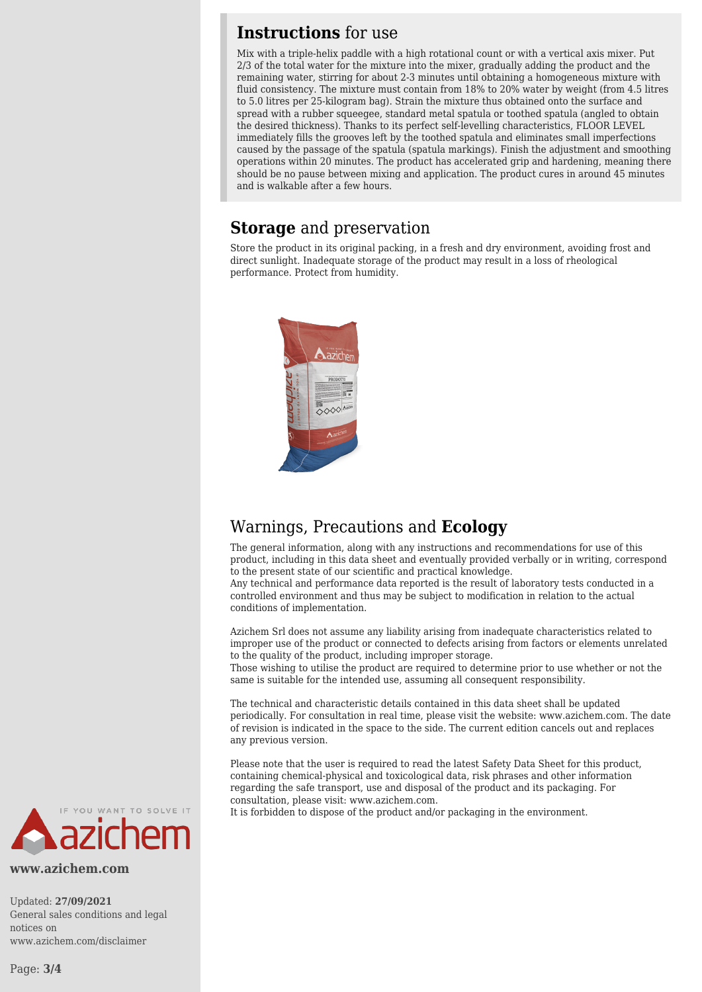#### **Instructions** for use

Mix with a triple-helix paddle with a high rotational count or with a vertical axis mixer. Put 2/3 of the total water for the mixture into the mixer, gradually adding the product and the remaining water, stirring for about 2-3 minutes until obtaining a homogeneous mixture with fluid consistency. The mixture must contain from 18% to 20% water by weight (from 4.5 litres to 5.0 litres per 25-kilogram bag). Strain the mixture thus obtained onto the surface and spread with a rubber squeegee, standard metal spatula or toothed spatula (angled to obtain the desired thickness). Thanks to its perfect self-levelling characteristics, FLOOR LEVEL immediately fills the grooves left by the toothed spatula and eliminates small imperfections caused by the passage of the spatula (spatula markings). Finish the adjustment and smoothing operations within 20 minutes. The product has accelerated grip and hardening, meaning there should be no pause between mixing and application. The product cures in around 45 minutes and is walkable after a few hours.

#### **Storage** and preservation

Store the product in its original packing, in a fresh and dry environment, avoiding frost and direct sunlight. Inadequate storage of the product may result in a loss of rheological performance. Protect from humidity.



## Warnings, Precautions and **Ecology**

The general information, along with any instructions and recommendations for use of this product, including in this data sheet and eventually provided verbally or in writing, correspond to the present state of our scientific and practical knowledge.

Any technical and performance data reported is the result of laboratory tests conducted in a controlled environment and thus may be subject to modification in relation to the actual conditions of implementation.

Azichem Srl does not assume any liability arising from inadequate characteristics related to improper use of the product or connected to defects arising from factors or elements unrelated to the quality of the product, including improper storage.

Those wishing to utilise the product are required to determine prior to use whether or not the same is suitable for the intended use, assuming all consequent responsibility.

The technical and characteristic details contained in this data sheet shall be updated periodically. For consultation in real time, please visit the website: www.azichem.com. The date of revision is indicated in the space to the side. The current edition cancels out and replaces any previous version.

Please note that the user is required to read the latest Safety Data Sheet for this product, containing chemical-physical and toxicological data, risk phrases and other information regarding the safe transport, use and disposal of the product and its packaging. For consultation, please visit: www.azichem.com.

It is forbidden to dispose of the product and/or packaging in the environment.



**www.azichem.com**

Updated: **27/09/2021** General sales conditions and legal notices on www.azichem.com/disclaimer